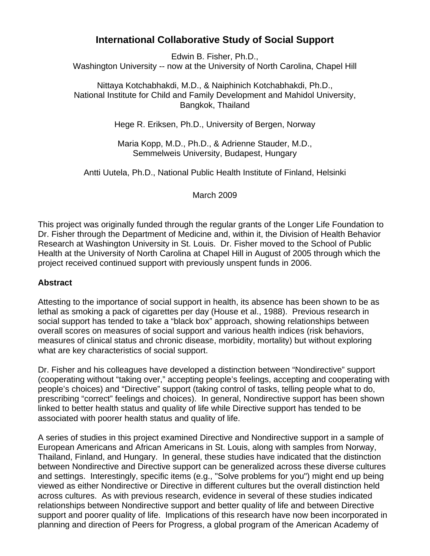# **International Collaborative Study of Social Support**

Edwin B. Fisher, Ph.D., Washington University -- now at the University of North Carolina, Chapel Hill

Nittaya Kotchabhakdi, M.D., & Naiphinich Kotchabhakdi, Ph.D., National Institute for Child and Family Development and Mahidol University, Bangkok, Thailand

Hege R. Eriksen, Ph.D., University of Bergen, Norway

Maria Kopp, M.D., Ph.D., & Adrienne Stauder, M.D., Semmelweis University, Budapest, Hungary

Antti Uutela, Ph.D., National Public Health Institute of Finland, Helsinki

March 2009

This project was originally funded through the regular grants of the Longer Life Foundation to Dr. Fisher through the Department of Medicine and, within it, the Division of Health Behavior Research at Washington University in St. Louis. Dr. Fisher moved to the School of Public Health at the University of North Carolina at Chapel Hill in August of 2005 through which the project received continued support with previously unspent funds in 2006.

#### **Abstract**

Attesting to the importance of social support in health, its absence has been shown to be as lethal as smoking a pack of cigarettes per day (House et al., 1988). Previous research in social support has tended to take a "black box" approach, showing relationships between overall scores on measures of social support and various health indices (risk behaviors, measures of clinical status and chronic disease, morbidity, mortality) but without exploring what are key characteristics of social support.

Dr. Fisher and his colleagues have developed a distinction between "Nondirective" support (cooperating without "taking over," accepting people's feelings, accepting and cooperating with people's choices) and "Directive" support (taking control of tasks, telling people what to do, prescribing "correct" feelings and choices). In general, Nondirective support has been shown linked to better health status and quality of life while Directive support has tended to be associated with poorer health status and quality of life.

A series of studies in this project examined Directive and Nondirective support in a sample of European Americans and African Americans in St. Louis, along with samples from Norway, Thailand, Finland, and Hungary. In general, these studies have indicated that the distinction between Nondirective and Directive support can be generalized across these diverse cultures and settings. Interestingly, specific items (e.g., "Solve problems for you") might end up being viewed as either Nondirective or Directive in different cultures but the overall distinction held across cultures. As with previous research, evidence in several of these studies indicated relationships between Nondirective support and better quality of life and between Directive support and poorer quality of life. Implications of this research have now been incorporated in planning and direction of Peers for Progress, a global program of the American Academy of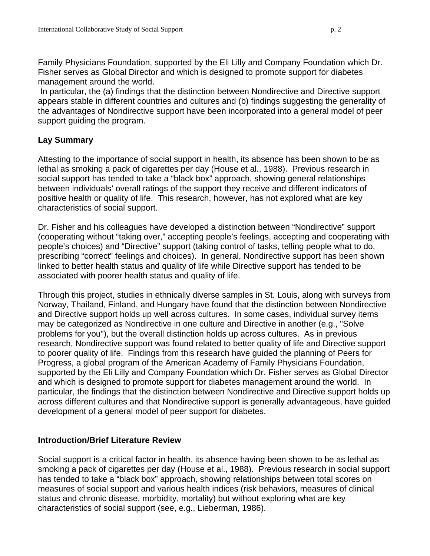Family Physicians Foundation, supported by the Eli Lilly and Company Foundation which Dr. Fisher serves as Global Director and which is designed to promote support for diabetes management around the world.

 In particular, the (a) findings that the distinction between Nondirective and Directive support appears stable in different countries and cultures and (b) findings suggesting the generality of the advantages of Nondirective support have been incorporated into a general model of peer support guiding the program.

## **Lay Summary**

Attesting to the importance of social support in health, its absence has been shown to be as lethal as smoking a pack of cigarettes per day (House et al., 1988). Previous research in social support has tended to take a "black box" approach, showing general relationships between individuals' overall ratings of the support they receive and different indicators of positive health or quality of life. This research, however, has not explored what are key characteristics of social support.

Dr. Fisher and his colleagues have developed a distinction between "Nondirective" support (cooperating without "taking over," accepting people's feelings, accepting and cooperating with people's choices) and "Directive" support (taking control of tasks, telling people what to do, prescribing "correct" feelings and choices). In general, Nondirective support has been shown linked to better health status and quality of life while Directive support has tended to be associated with poorer health status and quality of life.

Through this project, studies in ethnically diverse samples in St. Louis, along with surveys from Norway, Thailand, Finland, and Hungary have found that the distinction between Nondirective and Directive support holds up well across cultures. In some cases, individual survey items may be categorized as Nondirective in one culture and Directive in another (e.g., "Solve problems for you"), but the overall distinction holds up across cultures. As in previous research, Nondirective support was found related to better quality of life and Directive support to poorer quality of life. Findings from this research have guided the planning of Peers for Progress, a global program of the American Academy of Family Physicians Foundation, supported by the Eli Lilly and Company Foundation which Dr. Fisher serves as Global Director and which is designed to promote support for diabetes management around the world. In particular, the findings that the distinction between Nondirective and Directive support holds up across different cultures and that Nondirective support is generally advantageous, have guided development of a general model of peer support for diabetes.

## **Introduction/Brief Literature Review**

Social support is a critical factor in health, its absence having been shown to be as lethal as smoking a pack of cigarettes per day (House et al., 1988). Previous research in social support has tended to take a "black box" approach, showing relationships between total scores on measures of social support and various health indices (risk behaviors, measures of clinical status and chronic disease, morbidity, mortality) but without exploring what are key characteristics of social support (see, e.g., Lieberman, 1986).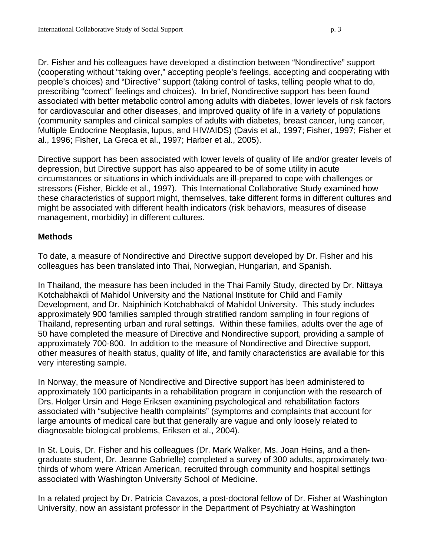Dr. Fisher and his colleagues have developed a distinction between "Nondirective" support (cooperating without "taking over," accepting people's feelings, accepting and cooperating with people's choices) and "Directive" support (taking control of tasks, telling people what to do, prescribing "correct" feelings and choices). In brief, Nondirective support has been found associated with better metabolic control among adults with diabetes, lower levels of risk factors for cardiovascular and other diseases, and improved quality of life in a variety of populations (community samples and clinical samples of adults with diabetes, breast cancer, lung cancer, Multiple Endocrine Neoplasia, lupus, and HIV/AIDS) (Davis et al., 1997; Fisher, 1997; Fisher et al., 1996; Fisher, La Greca et al., 1997; Harber et al., 2005).

Directive support has been associated with lower levels of quality of life and/or greater levels of depression, but Directive support has also appeared to be of some utility in acute circumstances or situations in which individuals are ill-prepared to cope with challenges or stressors (Fisher, Bickle et al., 1997). This International Collaborative Study examined how these characteristics of support might, themselves, take different forms in different cultures and might be associated with different health indicators (risk behaviors, measures of disease management, morbidity) in different cultures.

## **Methods**

To date, a measure of Nondirective and Directive support developed by Dr. Fisher and his colleagues has been translated into Thai, Norwegian, Hungarian, and Spanish.

In Thailand, the measure has been included in the Thai Family Study, directed by Dr. Nittaya Kotchabhakdi of Mahidol University and the National Institute for Child and Family Development, and Dr. Naiphinich Kotchabhakdi of Mahidol University. This study includes approximately 900 families sampled through stratified random sampling in four regions of Thailand, representing urban and rural settings. Within these families, adults over the age of 50 have completed the measure of Directive and Nondirective support, providing a sample of approximately 700-800. In addition to the measure of Nondirective and Directive support, other measures of health status, quality of life, and family characteristics are available for this very interesting sample.

In Norway, the measure of Nondirective and Directive support has been administered to approximately 100 participants in a rehabilitation program in conjunction with the research of Drs. Holger Ursin and Hege Eriksen examining psychological and rehabilitation factors associated with "subjective health complaints" (symptoms and complaints that account for large amounts of medical care but that generally are vague and only loosely related to diagnosable biological problems, Eriksen et al., 2004).

In St. Louis, Dr. Fisher and his colleagues (Dr. Mark Walker, Ms. Joan Heins, and a thengraduate student, Dr. Jeanne Gabrielle) completed a survey of 300 adults, approximately twothirds of whom were African American, recruited through community and hospital settings associated with Washington University School of Medicine.

In a related project by Dr. Patricia Cavazos, a post-doctoral fellow of Dr. Fisher at Washington University, now an assistant professor in the Department of Psychiatry at Washington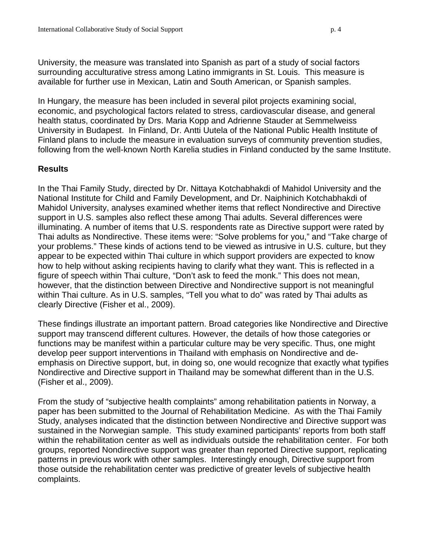University, the measure was translated into Spanish as part of a study of social factors surrounding acculturative stress among Latino immigrants in St. Louis. This measure is available for further use in Mexican, Latin and South American, or Spanish samples.

In Hungary, the measure has been included in several pilot projects examining social, economic, and psychological factors related to stress, cardiovascular disease, and general health status, coordinated by Drs. Maria Kopp and Adrienne Stauder at Semmelweiss University in Budapest. In Finland, Dr. Antti Uutela of the National Public Health Institute of Finland plans to include the measure in evaluation surveys of community prevention studies, following from the well-known North Karelia studies in Finland conducted by the same Institute.

## **Results**

In the Thai Family Study, directed by Dr. Nittaya Kotchabhakdi of Mahidol University and the National Institute for Child and Family Development, and Dr. Naiphinich Kotchabhakdi of Mahidol University, analyses examined whether items that reflect Nondirective and Directive support in U.S. samples also reflect these among Thai adults. Several differences were illuminating. A number of items that U.S. respondents rate as Directive support were rated by Thai adults as Nondirective. These items were: "Solve problems for you," and "Take charge of your problems." These kinds of actions tend to be viewed as intrusive in U.S. culture, but they appear to be expected within Thai culture in which support providers are expected to know how to help without asking recipients having to clarify what they want. This is reflected in a figure of speech within Thai culture, "Don't ask to feed the monk." This does not mean, however, that the distinction between Directive and Nondirective support is not meaningful within Thai culture. As in U.S. samples, "Tell you what to do" was rated by Thai adults as clearly Directive (Fisher et al., 2009).

These findings illustrate an important pattern. Broad categories like Nondirective and Directive support may transcend different cultures. However, the details of how those categories or functions may be manifest within a particular culture may be very specific. Thus, one might develop peer support interventions in Thailand with emphasis on Nondirective and deemphasis on Directive support, but, in doing so, one would recognize that exactly what typifies Nondirective and Directive support in Thailand may be somewhat different than in the U.S. (Fisher et al., 2009).

From the study of "subjective health complaints" among rehabilitation patients in Norway, a paper has been submitted to the Journal of Rehabilitation Medicine. As with the Thai Family Study, analyses indicated that the distinction between Nondirective and Directive support was sustained in the Norwegian sample. This study examined participants' reports from both staff within the rehabilitation center as well as individuals outside the rehabilitation center. For both groups, reported Nondirective support was greater than reported Directive support, replicating patterns in previous work with other samples. Interestingly enough, Directive support from those outside the rehabilitation center was predictive of greater levels of subjective health complaints.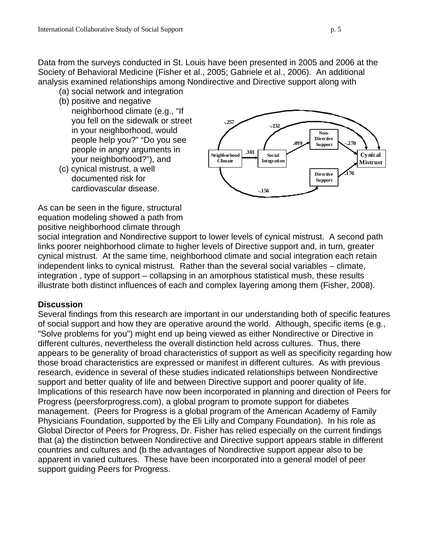Data from the surveys conducted in St. Louis have been presented in 2005 and 2006 at the Society of Behavioral Medicine (Fisher et al., 2005; Gabriele et al., 2006). An additional analysis examined relationships among Nondirective and Directive support along with

- (a) social network and integration
- (b) positive and negative

neighborhood climate (e.g., "If you fell on the sidewalk or street in your neighborhood, would people help you?" "Do you see people in angry arguments in your neighborhood?"), and

(c) cynical mistrust, a well documented risk for cardiovascular disease.



As can be seen in the figure, structural equation modeling showed a path from positive neighborhood climate through

social integration and Nondirective support to lower levels of cynical mistrust. A second path links poorer neighborhood climate to higher levels of Directive support and, in turn, greater cynical mistrust. At the same time, neighborhood climate and social integration each retain independent links to cynical mistrust. Rather than the several social variables – climate, integration , type of support – collapsing in an amorphous statistical mush, these results illustrate both distinct influences of each and complex layering among them (Fisher, 2008).

#### **Discussion**

Several findings from this research are important in our understanding both of specific features of social support and how they are operative around the world. Although, specific items (e.g., "Solve problems for you") might end up being viewed as either Nondirective or Directive in different cultures, nevertheless the overall distinction held across cultures. Thus, there appears to be generality of broad characteristics of support as well as specificity regarding how those broad characteristics are expressed or manifest in different cultures. As with previous research, evidence in several of these studies indicated relationships between Nondirective support and better quality of life and between Directive support and poorer quality of life. Implications of this research have now been incorporated in planning and direction of Peers for Progress (peersforprogress.com), a global program to promote support for diabetes management. (Peers for Progress is a global program of the American Academy of Family Physicians Foundation, supported by the Eli Lilly and Company Foundation). In his role as Global Director of Peers for Progress, Dr. Fisher has relied especially on the current findings that (a) the distinction between Nondirective and Directive support appears stable in different countries and cultures and (b the advantages of Nondirective support appear also to be apparent in varied cultures. These have been incorporated into a general model of peer support guiding Peers for Progress.